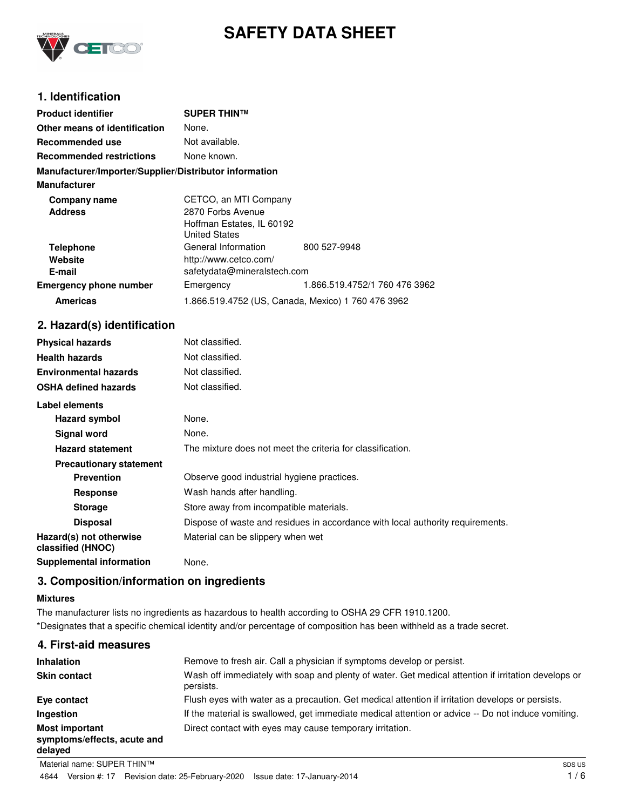

# **SAFETY DATA SHEET**

# **1. Identification**

| <b>Product identifier</b>                              | <b>SUPER THIN™</b>                                 |                               |
|--------------------------------------------------------|----------------------------------------------------|-------------------------------|
| Other means of identification                          | None.                                              |                               |
| Recommended use                                        | Not available.                                     |                               |
| <b>Recommended restrictions</b>                        | None known.                                        |                               |
| Manufacturer/Importer/Supplier/Distributor information |                                                    |                               |
| <b>Manufacturer</b>                                    |                                                    |                               |
| Company name                                           | CETCO, an MTI Company                              |                               |
| <b>Address</b>                                         | 2870 Forbs Avenue                                  |                               |
|                                                        | Hoffman Estates, IL 60192                          |                               |
|                                                        | <b>United States</b>                               |                               |
| <b>Telephone</b>                                       | General Information                                | 800 527-9948                  |
| Website                                                | http://www.cetco.com/                              |                               |
| E-mail                                                 | safetydata@mineralstech.com                        |                               |
| <b>Emergency phone number</b>                          | Emergency                                          | 1.866.519.4752/1 760 476 3962 |
| <b>Americas</b>                                        | 1.866.519.4752 (US, Canada, Mexico) 1 760 476 3962 |                               |

# **2. Hazard(s) identification**

| <b>Physical hazards</b>                      | Not classified.                                                                |
|----------------------------------------------|--------------------------------------------------------------------------------|
| <b>Health hazards</b>                        | Not classified.                                                                |
| <b>Environmental hazards</b>                 | Not classified.                                                                |
| <b>OSHA defined hazards</b>                  | Not classified.                                                                |
| Label elements                               |                                                                                |
| Hazard symbol                                | None.                                                                          |
| Signal word                                  | None.                                                                          |
| <b>Hazard statement</b>                      | The mixture does not meet the criteria for classification.                     |
| <b>Precautionary statement</b>               |                                                                                |
| <b>Prevention</b>                            | Observe good industrial hygiene practices.                                     |
| <b>Response</b>                              | Wash hands after handling.                                                     |
| <b>Storage</b>                               | Store away from incompatible materials.                                        |
| <b>Disposal</b>                              | Dispose of waste and residues in accordance with local authority requirements. |
| Hazard(s) not otherwise<br>classified (HNOC) | Material can be slippery when wet                                              |
| <b>Supplemental information</b>              | None.                                                                          |

# **3. Composition/information on ingredients**

# **Mixtures**

The manufacturer lists no ingredients as hazardous to health according to OSHA 29 CFR 1910.1200. \*Designates that a specific chemical identity and/or percentage of composition has been withheld as a trade secret.

| 4. First-aid measures                                           |                                                                                                                  |
|-----------------------------------------------------------------|------------------------------------------------------------------------------------------------------------------|
| <b>Inhalation</b>                                               | Remove to fresh air. Call a physician if symptoms develop or persist.                                            |
| <b>Skin contact</b>                                             | Wash off immediately with soap and plenty of water. Get medical attention if irritation develops or<br>persists. |
| Eye contact                                                     | Flush eyes with water as a precaution. Get medical attention if irritation develops or persists.                 |
| Ingestion                                                       | If the material is swallowed, get immediate medical attention or advice -- Do not induce vomiting.               |
| <b>Most important</b><br>symptoms/effects, acute and<br>delayed | Direct contact with eyes may cause temporary irritation.                                                         |
|                                                                 |                                                                                                                  |

Material name: SUPER THIN™ 4644 Version #: 17 Revision date: 25-February-2020 Issue date: 17-January-2014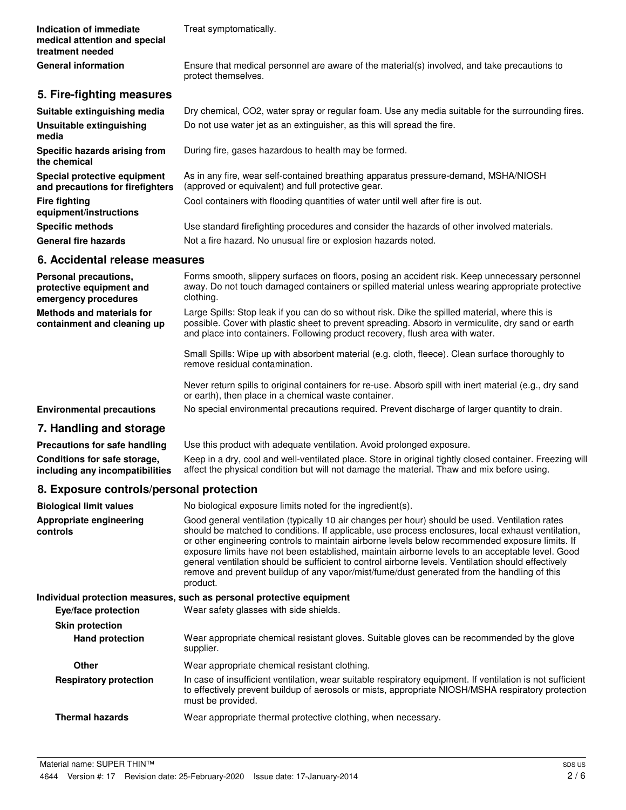| Indication of immediate       | Treat symptomatically. |
|-------------------------------|------------------------|
| medical attention and special |                        |
| treatment needed              |                        |

Ensure that medical personnel are aware of the material(s) involved, and take precautions to protect themselves.

# **5. Fire-fighting measures**

**General information**

| Suitable extinguishing media                                     | Dry chemical, CO2, water spray or regular foam. Use any media suitable for the surrounding fires.                                         |
|------------------------------------------------------------------|-------------------------------------------------------------------------------------------------------------------------------------------|
| Unsuitable extinguishing<br>media                                | Do not use water jet as an extinguisher, as this will spread the fire.                                                                    |
| Specific hazards arising from<br>the chemical                    | During fire, gases hazardous to health may be formed.                                                                                     |
| Special protective equipment<br>and precautions for firefighters | As in any fire, wear self-contained breathing apparatus pressure-demand, MSHA/NIOSH<br>(approved or equivalent) and full protective gear. |
| <b>Fire fighting</b><br>equipment/instructions                   | Cool containers with flooding quantities of water until well after fire is out.                                                           |
| <b>Specific methods</b>                                          | Use standard firefighting procedures and consider the hazards of other involved materials.                                                |
| <b>General fire hazards</b>                                      | Not a fire hazard. No unusual fire or explosion hazards noted.                                                                            |

# **6. Accidental release measures**

| Personal precautions,<br>protective equipment and<br>emergency procedures | Forms smooth, slippery surfaces on floors, posing an accident risk. Keep unnecessary personnel<br>away. Do not touch damaged containers or spilled material unless wearing appropriate protective<br>clothing.                                                                        |
|---------------------------------------------------------------------------|---------------------------------------------------------------------------------------------------------------------------------------------------------------------------------------------------------------------------------------------------------------------------------------|
| Methods and materials for<br>containment and cleaning up                  | Large Spills: Stop leak if you can do so without risk. Dike the spilled material, where this is<br>possible. Cover with plastic sheet to prevent spreading. Absorb in vermiculite, dry sand or earth<br>and place into containers. Following product recovery, flush area with water. |
|                                                                           | Small Spills: Wipe up with absorbent material (e.g. cloth, fleece). Clean surface thoroughly to<br>remove residual contamination.                                                                                                                                                     |
|                                                                           | Never return spills to original containers for re-use. Absorb spill with inert material (e.g., dry sand<br>or earth), then place in a chemical waste container.                                                                                                                       |
| <b>Environmental precautions</b>                                          | No special environmental precautions required. Prevent discharge of larger quantity to drain.                                                                                                                                                                                         |
| 7. Handling and storage                                                   |                                                                                                                                                                                                                                                                                       |
| Dua an itin wa fau anfa banaliwa                                          | Los this product with adopunto ventilation. Avoid professed eveneurs                                                                                                                                                                                                                  |

**Precautions for safe handling** Use this product with adequate ventilation. Avoid prolonged exposure. Keep in a dry, cool and well-ventilated place. Store in original tightly closed container. Freezing will affect the physical condition but will not damage the material. Thaw and mix before using. **Conditions for safe storage, including any incompatibilities**

# **8. Exposure controls/personal protection**

| <b>Biological limit values</b>      | No biological exposure limits noted for the ingredient(s).                                                                                                                                                                                                                                                                                                                                                                                                                                                                                                                                                                   |
|-------------------------------------|------------------------------------------------------------------------------------------------------------------------------------------------------------------------------------------------------------------------------------------------------------------------------------------------------------------------------------------------------------------------------------------------------------------------------------------------------------------------------------------------------------------------------------------------------------------------------------------------------------------------------|
| Appropriate engineering<br>controls | Good general ventilation (typically 10 air changes per hour) should be used. Ventilation rates<br>should be matched to conditions. If applicable, use process enclosures, local exhaust ventilation,<br>or other engineering controls to maintain airborne levels below recommended exposure limits. If<br>exposure limits have not been established, maintain airborne levels to an acceptable level. Good<br>general ventilation should be sufficient to control airborne levels. Ventilation should effectively<br>remove and prevent buildup of any vapor/mist/fume/dust generated from the handling of this<br>product. |
|                                     | Individual protection measures, such as personal protective equipment                                                                                                                                                                                                                                                                                                                                                                                                                                                                                                                                                        |
| Eye/face protection                 | Wear safety glasses with side shields.                                                                                                                                                                                                                                                                                                                                                                                                                                                                                                                                                                                       |
| <b>Skin protection</b>              |                                                                                                                                                                                                                                                                                                                                                                                                                                                                                                                                                                                                                              |
| <b>Hand protection</b>              | Wear appropriate chemical resistant gloves. Suitable gloves can be recommended by the glove<br>supplier.                                                                                                                                                                                                                                                                                                                                                                                                                                                                                                                     |
| Other                               | Wear appropriate chemical resistant clothing.                                                                                                                                                                                                                                                                                                                                                                                                                                                                                                                                                                                |
| <b>Respiratory protection</b>       | In case of insufficient ventilation, wear suitable respiratory equipment. If ventilation is not sufficient<br>to effectively prevent buildup of aerosols or mists, appropriate NIOSH/MSHA respiratory protection<br>must be provided.                                                                                                                                                                                                                                                                                                                                                                                        |
| <b>Thermal hazards</b>              | Wear appropriate thermal protective clothing, when necessary.                                                                                                                                                                                                                                                                                                                                                                                                                                                                                                                                                                |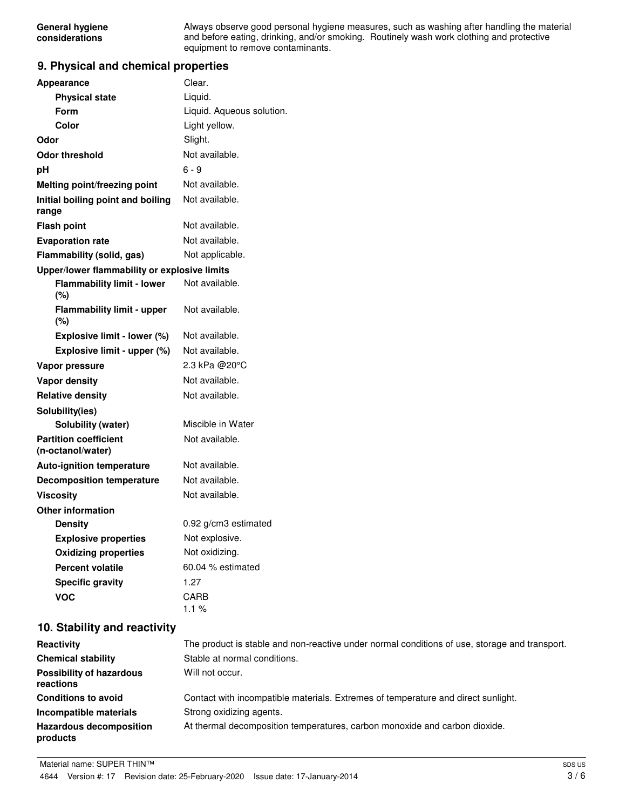Always observe good personal hygiene measures, such as washing after handling the material and before eating, drinking, and/or smoking. Routinely wash work clothing and protective equipment to remove contaminants.

### **9. Physical and chemical properties**

| <b>Appearance</b>                                 | Clear.                    |
|---------------------------------------------------|---------------------------|
| <b>Physical state</b>                             | Liquid.                   |
| Form                                              | Liquid. Aqueous solution. |
| Color                                             | Light yellow.             |
| Odor                                              | Slight.                   |
| <b>Odor threshold</b>                             | Not available.            |
| рH                                                | 6 - 9                     |
| Melting point/freezing point                      | Not available.            |
| Initial boiling point and boiling<br>range        | Not available.            |
| <b>Flash point</b>                                | Not available.            |
| <b>Evaporation rate</b>                           | Not available.            |
| Flammability (solid, gas)                         | Not applicable.           |
| Upper/lower flammability or explosive limits      |                           |
| <b>Flammability limit - lower</b><br>(%)          | Not available.            |
| <b>Flammability limit - upper</b><br>(%)          | Not available.            |
| Explosive limit - lower (%)                       | Not available.            |
| Explosive limit - upper (%)                       | Not available.            |
| Vapor pressure                                    | 2.3 kPa @20°C             |
| <b>Vapor density</b>                              | Not available.            |
| <b>Relative density</b>                           | Not available.            |
| Solubility(ies)                                   |                           |
| Solubility (water)                                | Miscible in Water         |
| <b>Partition coefficient</b><br>(n-octanol/water) | Not available.            |
| <b>Auto-ignition temperature</b>                  | Not available.            |
| <b>Decomposition temperature</b>                  | Not available.            |
| <b>Viscosity</b>                                  | Not available.            |
| <b>Other information</b>                          |                           |
| <b>Density</b>                                    | 0.92 g/cm3 estimated      |
| <b>Explosive properties</b>                       | Not explosive.            |
| <b>Oxidizing properties</b>                       | Not oxidizing.            |
| <b>Percent volatile</b>                           | 60.04 % estimated         |
| <b>Specific gravity</b>                           | 1.27                      |
| <b>VOC</b>                                        | CARB<br>1.1%              |

# **10. Stability and reactivity**

| Reactivity                                   | The product is stable and non-reactive under normal conditions of use, storage and transport. |
|----------------------------------------------|-----------------------------------------------------------------------------------------------|
| <b>Chemical stability</b>                    | Stable at normal conditions.                                                                  |
| <b>Possibility of hazardous</b><br>reactions | Will not occur.                                                                               |
| <b>Conditions to avoid</b>                   | Contact with incompatible materials. Extremes of temperature and direct sunlight.             |
| Incompatible materials                       | Strong oxidizing agents.                                                                      |
| <b>Hazardous decomposition</b><br>products   | At thermal decomposition temperatures, carbon monoxide and carbon dioxide.                    |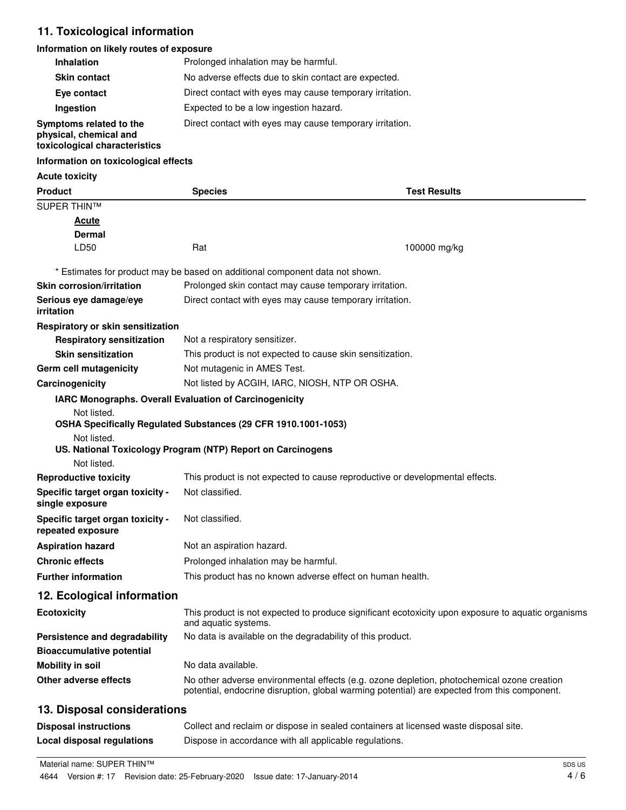# **11. Toxicological information**

# **Information on likely routes of exposure**

| <b>Inhalation</b>                                                                  | Prolonged inhalation may be harmful.                     |
|------------------------------------------------------------------------------------|----------------------------------------------------------|
| <b>Skin contact</b>                                                                | No adverse effects due to skin contact are expected.     |
| Eye contact                                                                        | Direct contact with eyes may cause temporary irritation. |
| Ingestion                                                                          | Expected to be a low ingestion hazard.                   |
| Symptoms related to the<br>physical, chemical and<br>toxicological characteristics | Direct contact with eyes may cause temporary irritation. |

#### **Information on toxicological effects**

#### **Acute toxicity**

| <b>Product</b>                                        | <b>Species</b>                                                               | <b>Test Results</b>                                                                                                                                                                        |  |
|-------------------------------------------------------|------------------------------------------------------------------------------|--------------------------------------------------------------------------------------------------------------------------------------------------------------------------------------------|--|
| <b>SUPER THIN™</b>                                    |                                                                              |                                                                                                                                                                                            |  |
| <u>Acute</u>                                          |                                                                              |                                                                                                                                                                                            |  |
| <b>Dermal</b>                                         |                                                                              |                                                                                                                                                                                            |  |
| LD50                                                  | Rat                                                                          | 100000 mg/kg                                                                                                                                                                               |  |
|                                                       | * Estimates for product may be based on additional component data not shown. |                                                                                                                                                                                            |  |
| <b>Skin corrosion/irritation</b>                      | Prolonged skin contact may cause temporary irritation.                       |                                                                                                                                                                                            |  |
| Serious eye damage/eye<br>irritation                  | Direct contact with eyes may cause temporary irritation.                     |                                                                                                                                                                                            |  |
| Respiratory or skin sensitization                     |                                                                              |                                                                                                                                                                                            |  |
| <b>Respiratory sensitization</b>                      | Not a respiratory sensitizer.                                                |                                                                                                                                                                                            |  |
| <b>Skin sensitization</b>                             | This product is not expected to cause skin sensitization.                    |                                                                                                                                                                                            |  |
| Germ cell mutagenicity                                |                                                                              | Not mutagenic in AMES Test.                                                                                                                                                                |  |
| Carcinogenicity                                       |                                                                              | Not listed by ACGIH, IARC, NIOSH, NTP OR OSHA.                                                                                                                                             |  |
|                                                       | IARC Monographs. Overall Evaluation of Carcinogenicity                       |                                                                                                                                                                                            |  |
| Not listed.                                           | OSHA Specifically Regulated Substances (29 CFR 1910.1001-1053)               |                                                                                                                                                                                            |  |
| Not listed.<br>Not listed.                            | US. National Toxicology Program (NTP) Report on Carcinogens                  |                                                                                                                                                                                            |  |
| <b>Reproductive toxicity</b>                          |                                                                              | This product is not expected to cause reproductive or developmental effects.                                                                                                               |  |
| Specific target organ toxicity -<br>single exposure   | Not classified.                                                              |                                                                                                                                                                                            |  |
| Specific target organ toxicity -<br>repeated exposure | Not classified.                                                              |                                                                                                                                                                                            |  |
| <b>Aspiration hazard</b>                              | Not an aspiration hazard.                                                    |                                                                                                                                                                                            |  |
| <b>Chronic effects</b>                                | Prolonged inhalation may be harmful.                                         |                                                                                                                                                                                            |  |
| <b>Further information</b>                            |                                                                              | This product has no known adverse effect on human health.                                                                                                                                  |  |
| 12. Ecological information                            |                                                                              |                                                                                                                                                                                            |  |
| <b>Ecotoxicity</b>                                    | and aquatic systems.                                                         | This product is not expected to produce significant ecotoxicity upon exposure to aquatic organisms                                                                                         |  |
| Persistence and degradability                         | No data is available on the degradability of this product.                   |                                                                                                                                                                                            |  |
| <b>Bioaccumulative potential</b>                      |                                                                              |                                                                                                                                                                                            |  |
| <b>Mobility in soil</b>                               | No data available.                                                           |                                                                                                                                                                                            |  |
| Other adverse effects                                 |                                                                              | No other adverse environmental effects (e.g. ozone depletion, photochemical ozone creation<br>potential, endocrine disruption, global warming potential) are expected from this component. |  |
| 13. Disposal considerations                           |                                                                              |                                                                                                                                                                                            |  |
| <b>Disposal instructions</b>                          |                                                                              | Collect and reclaim or dispose in sealed containers at licensed waste disposal site.                                                                                                       |  |

**Local disposal regulations** Dispose in accordance with all applicable regulations.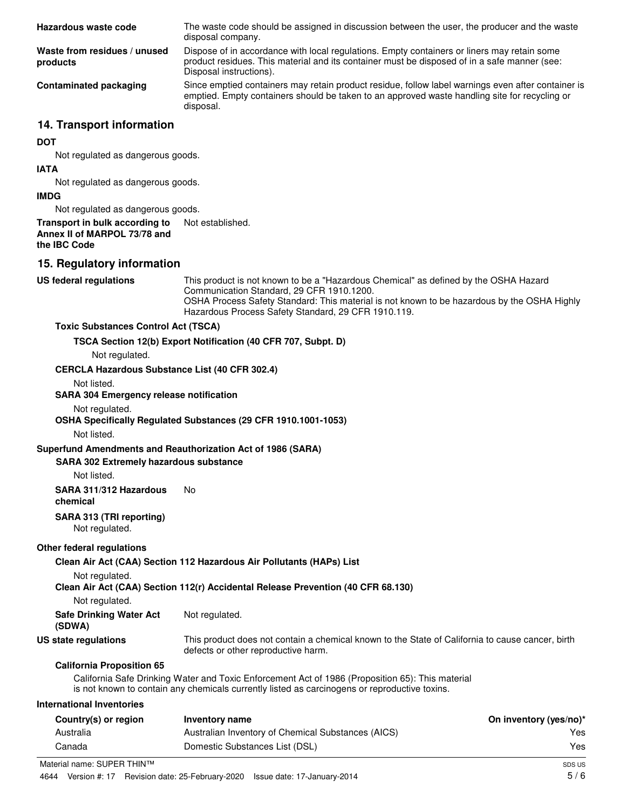| Hazardous waste code                     | The waste code should be assigned in discussion between the user, the producer and the waste<br>disposal company.                                                                                                      |
|------------------------------------------|------------------------------------------------------------------------------------------------------------------------------------------------------------------------------------------------------------------------|
| Waste from residues / unused<br>products | Dispose of in accordance with local regulations. Empty containers or liners may retain some<br>product residues. This material and its container must be disposed of in a safe manner (see:<br>Disposal instructions). |
| Contaminated packaging                   | Since emptied containers may retain product residue, follow label warnings even after container is<br>emptied. Empty containers should be taken to an approved waste handling site for recycling or<br>disposal.       |

# **14. Transport information**

#### **DOT**

Not regulated as dangerous goods.

#### **IATA**

Not regulated as dangerous goods.

#### **IMDG**

Not regulated as dangerous goods.

#### **Transport in bulk according to** Not established. **Annex II of MARPOL 73/78 and the IBC Code**

# **15. Regulatory information**

#### **US federal regulations**

This product is not known to be a "Hazardous Chemical" as defined by the OSHA Hazard Communication Standard, 29 CFR 1910.1200. OSHA Process Safety Standard: This material is not known to be hazardous by the OSHA Highly Hazardous Process Safety Standard, 29 CFR 1910.119.

#### **Toxic Substances Control Act (TSCA)**

**TSCA Section 12(b) Export Notification (40 CFR 707, Subpt. D)**

Not regulated.

**CERCLA Hazardous Substance List (40 CFR 302.4)**

Not listed.

**SARA 304 Emergency release notification**

#### Not regulated.

**OSHA Specifically Regulated Substances (29 CFR 1910.1001-1053)**

Not listed.

### **Superfund Amendments and Reauthorization Act of 1986 (SARA)**

#### **SARA 302 Extremely hazardous substance**

Not listed.

#### **SARA 311/312 Hazardous** No

**chemical**

### **SARA 313 (TRI reporting)**

Not regulated.

### **Other federal regulations**

**Clean Air Act (CAA) Section 112 Hazardous Air Pollutants (HAPs) List**

Not regulated.

### **Clean Air Act (CAA) Section 112(r) Accidental Release Prevention (40 CFR 68.130)**

Not regulated.

| <b>Safe Drinking Water Act</b> | Not regulated. |
|--------------------------------|----------------|
| (SDWA)                         |                |

**US state regulations**

This product does not contain a chemical known to the State of California to cause cancer, birth defects or other reproductive harm.

### **California Proposition 65**

California Safe Drinking Water and Toxic Enforcement Act of 1986 (Proposition 65): This material is not known to contain any chemicals currently listed as carcinogens or reproductive toxins.

#### **International Inventories**

| Country(s) or region      | Inventory name                                     | On inventory (yes/no)* |
|---------------------------|----------------------------------------------------|------------------------|
| Australia                 | Australian Inventory of Chemical Substances (AICS) | Yes                    |
| Canada                    | Domestic Substances List (DSL)                     | Yes                    |
| aterial name: SHPFR THIN™ |                                                    | SILPUS                 |

Material name: SUPER THIN™